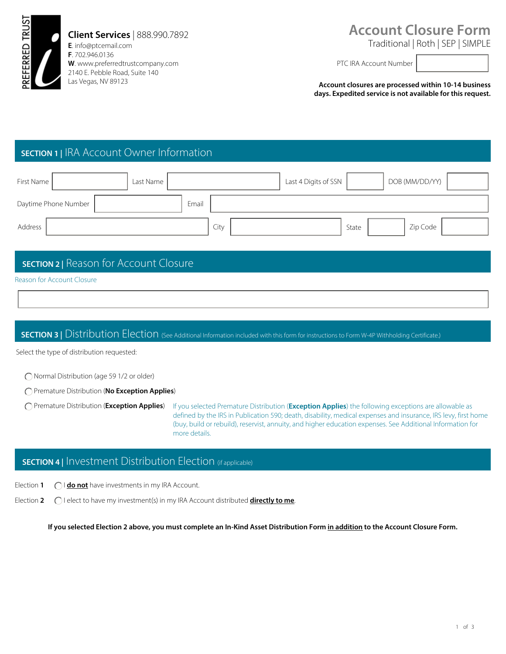

### **Client Services** | 888.990.7892

**E**. info@ptcemail.com **F**. 702.946.0136 **W**. www.preferredtrustcompany.com 2140 E. Pebble Road, Suite 140 Las Vegas, NV 89123

# **Account Closure Form**

Traditional | Roth | SEP | SIMPLE

PTC IRA Account Number

**Account closures are processed within 10-14 business days. Expedited service is not available for this request.** 

# **SECTION 1 |** IRA Account Owner Information

| First Name           | Last Name |       |      | Last 4 Digits of SSN |       | DOB (MM/DD/YY) |  |
|----------------------|-----------|-------|------|----------------------|-------|----------------|--|
| Daytime Phone Number |           | Email |      |                      |       |                |  |
| Address              |           |       | City |                      | State | Zip Code       |  |

### **SECTION 2 |** Reason for Account Closure

#### Reason for Account Closure

#### **SECTION 3** | Distribution Election (See Additional Information included with this form for instructions to Form W-4P Withholding Certificate.)

Select the type of distribution requested:

Normal Distribution (age 59 1/2 or older)

Premature Distribution (**No Exception Applies**)

Premature Distribution (**Exception Applies**) If you selected Premature Distribution (**Exception Applies**) the following exceptions are allowable as defined by the IRS in Publication 590; death, disability, medical expenses and insurance, IRS levy, first home (buy, build or rebuild), reservist, annuity, and higher education expenses. See Additional Information for more details.

### **SECTION 4** | Investment Distribution Election (if applicable)

I **do not** have investments in my IRA Account. Election **1**

I elect to have my investment(s) in my IRA Account distributed **directly to me**. Election **2**

**If you selected Election 2 above, you must complete an In-Kind Asset Distribution Form in addition to the Account Closure Form.**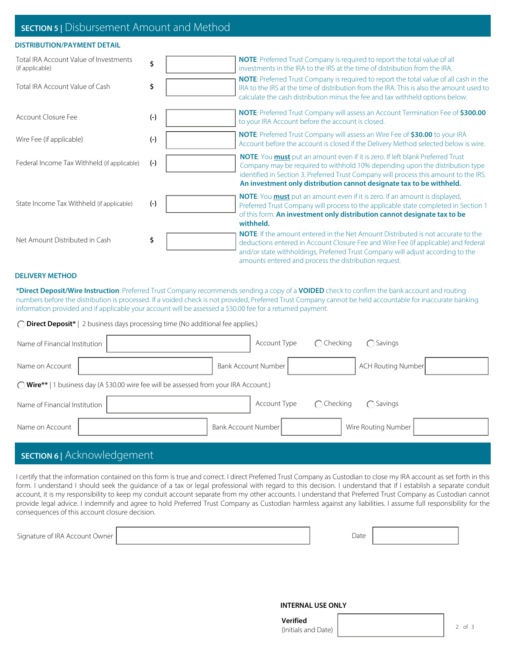#### **SECTION 5 |** Disbursement Amount and Method

#### **DISTRIBUTION/PAYMENT DETAIL**

| Total IRA Account Value of Investments<br>(if applicable)<br>Total IRA Account Value of Cash | \$<br>\$ | <b>NOTE:</b> Preferred Trust Company is required to report the total value of all<br>investments in the IRA to the IRS at the time of distribution from the IRA.<br><b>NOTE:</b> Preferred Trust Company is required to report the total value of all cash in the<br>IRA to the IRS at the time of distribution from the IRA. This is also the amount used to |
|----------------------------------------------------------------------------------------------|----------|---------------------------------------------------------------------------------------------------------------------------------------------------------------------------------------------------------------------------------------------------------------------------------------------------------------------------------------------------------------|
|                                                                                              |          | calculate the cash distribution minus the fee and tax withheld options below.<br><b>NOTE:</b> Preferred Trust Company will assess an Account Termination Fee of \$300.00                                                                                                                                                                                      |
| Account Closure Fee                                                                          | $(-)$    | to your IRA Account before the account is closed.                                                                                                                                                                                                                                                                                                             |
| Wire Fee (if applicable)                                                                     | $(-)$    | <b>NOTE:</b> Preferred Trust Company will assess an Wire Fee of \$30.00 to your IRA<br>Account before the account is closed if the Delivery Method selected below is wire.                                                                                                                                                                                    |
| Federal Income Tax Withheld (if applicable)                                                  | $(-)$    | <b>NOTE:</b> You <b>must</b> put an amount even if it is zero. If left blank Preferred Trust<br>Company may be required to withhold 10% depending upon the distribution type<br>identified in Section 3. Preferred Trust Company will process this amount to the IRS.<br>An investment only distribution cannot designate tax to be withheld.                 |
| State Income Tax Withheld (if applicable)                                                    | $(-)$    | <b>NOTE:</b> You <b>must</b> put an amount even if it is zero. If an amount is displayed,<br>Preferred Trust Company will process to the applicable state completed in Section 1<br>of this form. An investment only distribution cannot designate tax to be<br>withheld.                                                                                     |
| Net Amount Distributed in Cash                                                               | \$       | <b>NOTE:</b> If the amount entered in the Net Amount Distributed is not accurate to the<br>deductions entered in Account Closure Fee and Wire Fee (if applicable) and federal<br>and/or state withholdings, Preferred Trust Company will adjust according to the<br>amounts entered and process the distribution request.                                     |

#### **DELIVERY METHOD**

**\*Direct Deposit/Wire Instruction**: Preferred Trust Company recommends sending a copy of a **VOIDED** check to confirm the bank account and routing numbers before the distribution is processed. If a voided check is not provided, Preferred Trust Company cannot be held accountable for inaccurate banking information provided and if applicable your account will be assessed a \$30.00 fee for a returned payment.

**Direct Deposit\*** | 2 business days processing time (No additional fee applies.)

| Name of Financial Institution                                                                   |                     | Account Type        | $\bigcap$ Checking | ◯ Savings                 |  |  |
|-------------------------------------------------------------------------------------------------|---------------------|---------------------|--------------------|---------------------------|--|--|
| Name on Account                                                                                 |                     | Bank Account Number |                    | <b>ACH Routing Number</b> |  |  |
| 1 business day (A \$30.00 wire fee will be assessed from your IRA Account.)<br>$\bigcap$ Wire** |                     |                     |                    |                           |  |  |
| Name of Financial Institution                                                                   |                     | Account Type        | $\bigcap$ Checking | $\bigcap$ Savings         |  |  |
| Name on Account                                                                                 | Bank Account Number |                     |                    | Wire Routing Number       |  |  |

## **SECTION 6 |** Acknowledgement

I certify that the information contained on this form is true and correct. I direct Preferred Trust Company as Custodian to close my IRA account as set forth in this form. I understand I should seek the guidance of a tax or legal professional with regard to this decision. I understand that if I establish a separate conduit account, it is my responsibility to keep my conduit account separate from my other accounts. I understand that Preferred Trust Company as Custodian cannot provide legal advice. I indemnify and agree to hold Preferred Trust Company as Custodian harmless against any liabilities. I assume full responsibility for the consequences of this account closure decision.

| $\sim$ $\sim$ $\sim$<br>$\sim$ .<br>Uwner 1<br>.Signature.o<br>. Account<br>' IKA- | $\overline{\phantom{0}}$<br>Date<br>. |  |
|------------------------------------------------------------------------------------|---------------------------------------|--|
|                                                                                    |                                       |  |

#### **INTERNAL USE ONLY**

| Verified            |  |
|---------------------|--|
| (Initials and Date) |  |